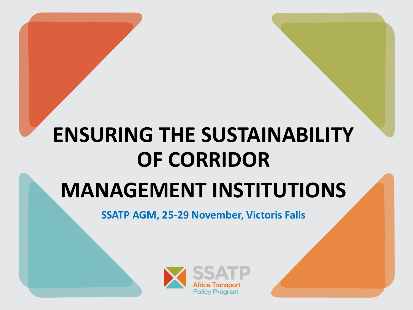# **ENSURING THE SUSTAINABILITY OF CORRIDOR**

#### **MANAGEMENT INSTITUTIONS**

**SSATP AGM, 25-29 November, Victoris Falls** 

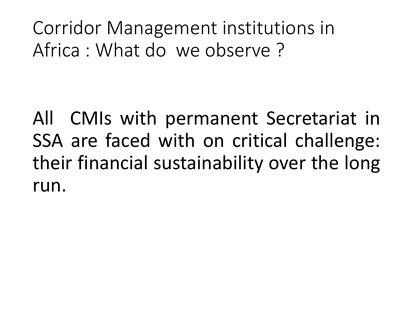Corridor Management institutions in Africa : What do we observe ?

All CMIs with permanent Secretariat in SSA are faced with on critical challenge: their financial sustainability over the long run.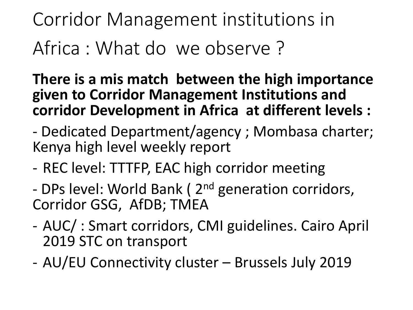### Corridor Management institutions in Africa : What do we observe ?

**There is a mis match between the high importance given to Corridor Management Institutions and corridor Development in Africa at different levels :**

- Dedicated Department/agency ; Mombasa charter; Kenya high level weekly report

- REC level: TTTFP, EAC high corridor meeting
- DPs level: World Bank (2<sup>nd</sup> generation corridors, Corridor GSG, AfDB; TMEA
- AUC/ : Smart corridors, CMI guidelines. Cairo April 2019 STC on transport
- AU/EU Connectivity cluster Brussels July 2019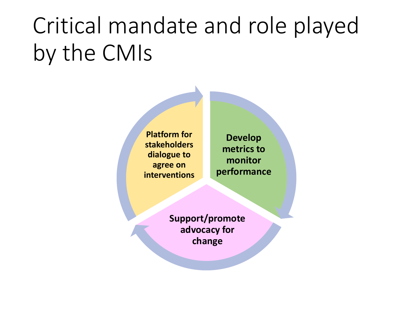# Critical mandate and role played by the CMIs

**Platform for stakeholders dialogue to agree on interventions**

**Develop metrics to monitor performance** 

**Support/promote advocacy for change**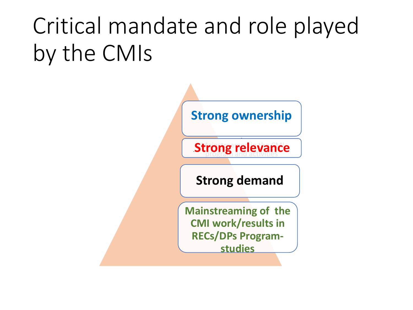# Critical mandate and role played by the CMIs

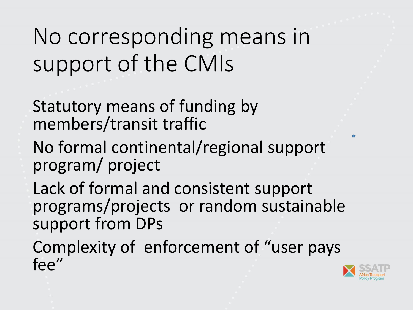### No corresponding means in support of the CMIs

Statutory means of funding by members/transit traffic

- No formal continental/regional support program/ project
- Lack of formal and consistent support programs/projects or random sustainable support from DPs

Complexity of enforcement of "user pays fee"

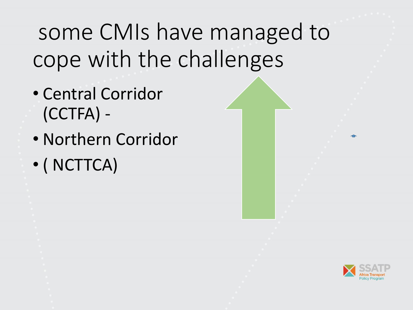### some CMIs have managed to cope with the challenges

- Central Corridor (CCTFA) -
- Northern Corridor
- ( NCTTCA)

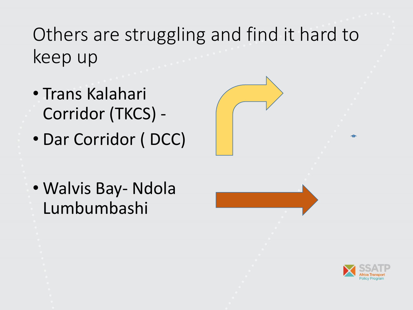Others are struggling and find it hard to keep up

- Trans Kalahari Corridor (TKCS) -
- Dar Corridor ( DCC)
- Walvis Bay- Ndola Lumbumbashi





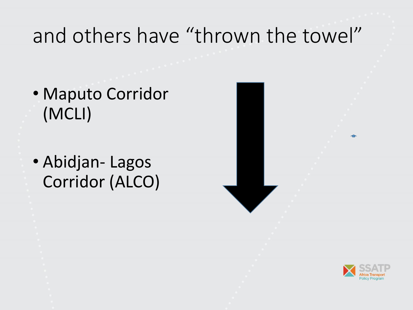#### and others have "thrown the towel"

- Maputo Corridor (MCLI)
- Abidjan- Lagos Corridor (ALCO)



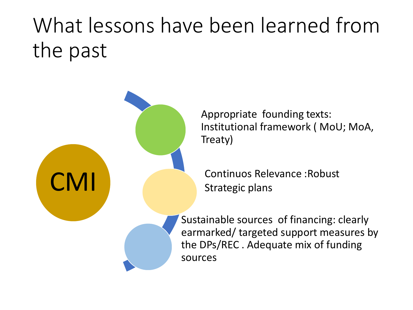### What lessons have been learned from the past



Appropriate founding texts: Institutional framework ( MoU; MoA, Treaty)

Continuos Relevance :Robust Strategic plans

Sustainable sources of financing: clearly earmarked/ targeted support measures by the DPs/REC . Adequate mix of funding sources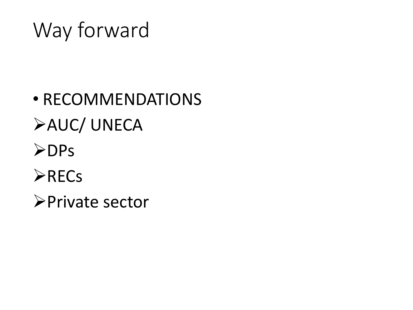#### Way forward

- RECOMMENDATIONS ➢AUC/ UNECA ➢DPs
- ➢RECs
- ➢Private sector